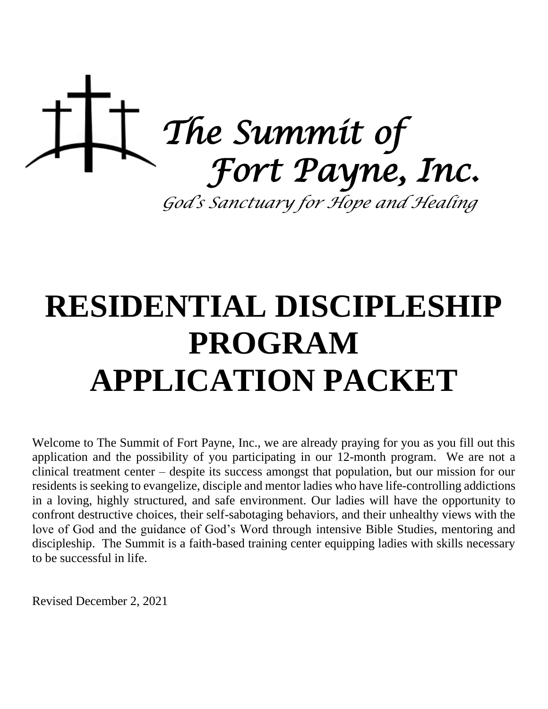

# **RESIDENTIAL DISCIPLESHIP PROGRAM APPLICATION PACKET**

Welcome to The Summit of Fort Payne, Inc., we are already praying for you as you fill out this application and the possibility of you participating in our 12-month program. We are not a clinical treatment center – despite its success amongst that population, but our mission for our residents is seeking to evangelize, disciple and mentor ladies who have life-controlling addictions in a loving, highly structured, and safe environment. Our ladies will have the opportunity to confront destructive choices, their self-sabotaging behaviors, and their unhealthy views with the love of God and the guidance of God's Word through intensive Bible Studies, mentoring and discipleship. The Summit is a faith-based training center equipping ladies with skills necessary to be successful in life.

Revised December 2, 2021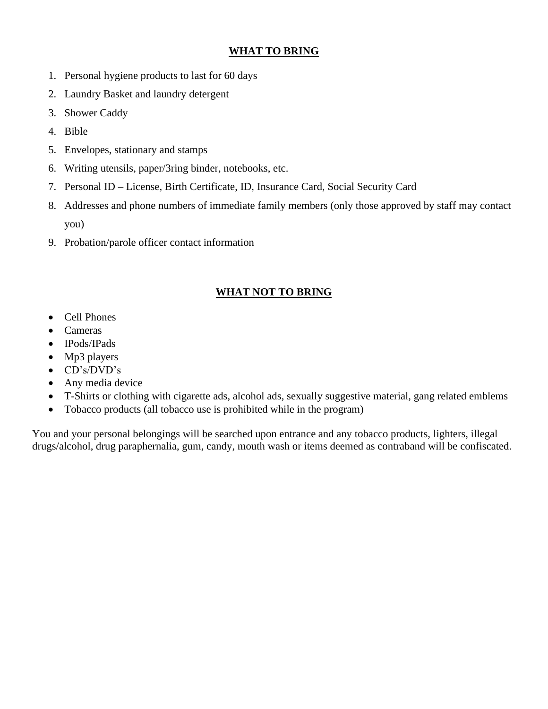## **WHAT TO BRING**

- 1. Personal hygiene products to last for 60 days
- 2. Laundry Basket and laundry detergent
- 3. Shower Caddy
- 4. Bible
- 5. Envelopes, stationary and stamps
- 6. Writing utensils, paper/3ring binder, notebooks, etc.
- 7. Personal ID License, Birth Certificate, ID, Insurance Card, Social Security Card
- 8. Addresses and phone numbers of immediate family members (only those approved by staff may contact you)
- 9. Probation/parole officer contact information

# **WHAT NOT TO BRING**

- Cell Phones
- **Cameras**
- IPods/IPads
- Mp3 players
- CD's/DVD's
- Any media device
- T-Shirts or clothing with cigarette ads, alcohol ads, sexually suggestive material, gang related emblems
- Tobacco products (all tobacco use is prohibited while in the program)

You and your personal belongings will be searched upon entrance and any tobacco products, lighters, illegal drugs/alcohol, drug paraphernalia, gum, candy, mouth wash or items deemed as contraband will be confiscated.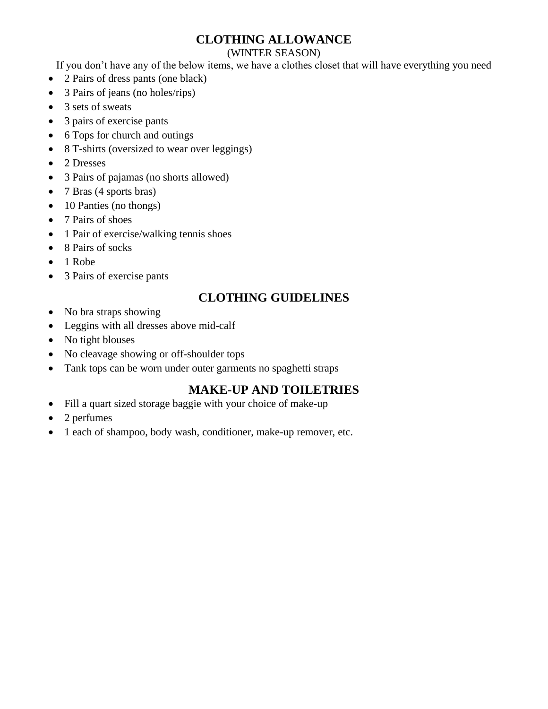# **CLOTHING ALLOWANCE**

#### (WINTER SEASON)

If you don't have any of the below items, we have a clothes closet that will have everything you need

- 2 Pairs of dress pants (one black)
- 3 Pairs of jeans (no holes/rips)
- 3 sets of sweats
- 3 pairs of exercise pants
- 6 Tops for church and outings
- 8 T-shirts (oversized to wear over leggings)
- 2 Dresses
- 3 Pairs of pajamas (no shorts allowed)
- 7 Bras (4 sports bras)
- 10 Panties (no thongs)
- 7 Pairs of shoes
- 1 Pair of exercise/walking tennis shoes
- 8 Pairs of socks
- 1 Robe
- 3 Pairs of exercise pants

# **CLOTHING GUIDELINES**

- No bra straps showing
- Leggins with all dresses above mid-calf
- No tight blouses
- No cleavage showing or off-shoulder tops
- Tank tops can be worn under outer garments no spaghetti straps

# **MAKE-UP AND TOILETRIES**

- Fill a quart sized storage baggie with your choice of make-up
- 2 perfumes
- 1 each of shampoo, body wash, conditioner, make-up remover, etc.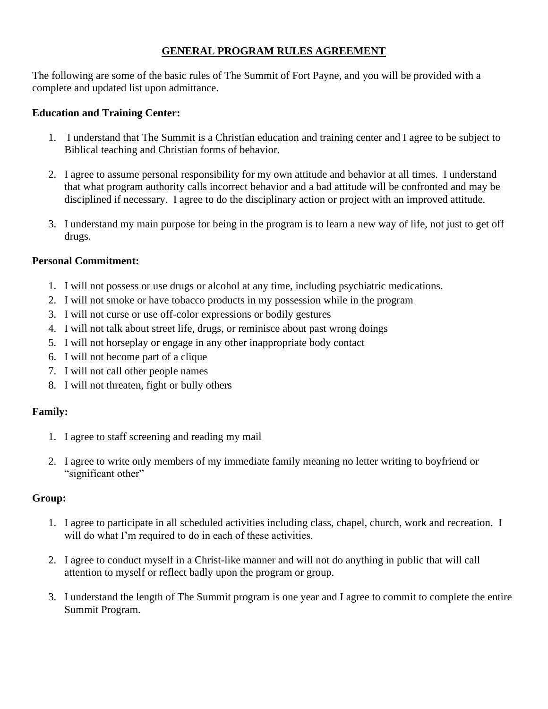## **GENERAL PROGRAM RULES AGREEMENT**

The following are some of the basic rules of The Summit of Fort Payne, and you will be provided with a complete and updated list upon admittance.

#### **Education and Training Center:**

- 1. I understand that The Summit is a Christian education and training center and I agree to be subject to Biblical teaching and Christian forms of behavior.
- 2. I agree to assume personal responsibility for my own attitude and behavior at all times. I understand that what program authority calls incorrect behavior and a bad attitude will be confronted and may be disciplined if necessary. I agree to do the disciplinary action or project with an improved attitude.
- 3. I understand my main purpose for being in the program is to learn a new way of life, not just to get off drugs.

#### **Personal Commitment:**

- 1. I will not possess or use drugs or alcohol at any time, including psychiatric medications.
- 2. I will not smoke or have tobacco products in my possession while in the program
- 3. I will not curse or use off-color expressions or bodily gestures
- 4. I will not talk about street life, drugs, or reminisce about past wrong doings
- 5. I will not horseplay or engage in any other inappropriate body contact
- 6. I will not become part of a clique
- 7. I will not call other people names
- 8. I will not threaten, fight or bully others

#### **Family:**

- 1. I agree to staff screening and reading my mail
- 2. I agree to write only members of my immediate family meaning no letter writing to boyfriend or "significant other"

#### **Group:**

- 1. I agree to participate in all scheduled activities including class, chapel, church, work and recreation. I will do what I'm required to do in each of these activities.
- 2. I agree to conduct myself in a Christ-like manner and will not do anything in public that will call attention to myself or reflect badly upon the program or group.
- 3. I understand the length of The Summit program is one year and I agree to commit to complete the entire Summit Program.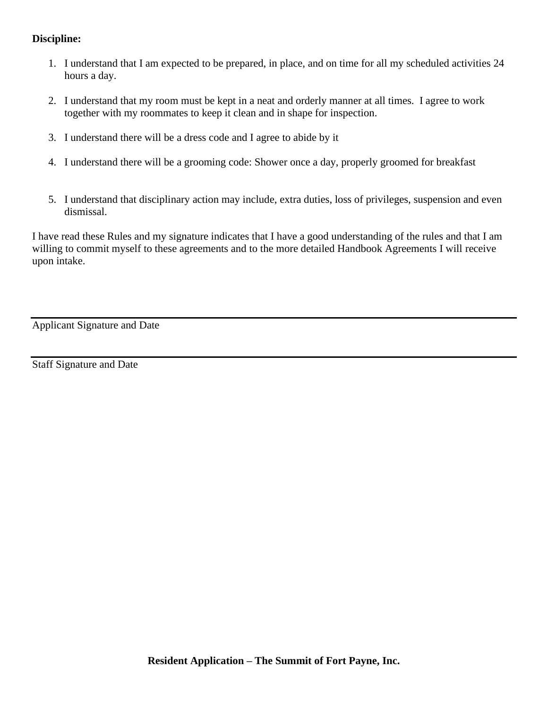## **Discipline:**

- 1. I understand that I am expected to be prepared, in place, and on time for all my scheduled activities 24 hours a day.
- 2. I understand that my room must be kept in a neat and orderly manner at all times. I agree to work together with my roommates to keep it clean and in shape for inspection.
- 3. I understand there will be a dress code and I agree to abide by it
- 4. I understand there will be a grooming code: Shower once a day, properly groomed for breakfast
- 5. I understand that disciplinary action may include, extra duties, loss of privileges, suspension and even dismissal.

I have read these Rules and my signature indicates that I have a good understanding of the rules and that I am willing to commit myself to these agreements and to the more detailed Handbook Agreements I will receive upon intake.

Applicant Signature and Date

Staff Signature and Date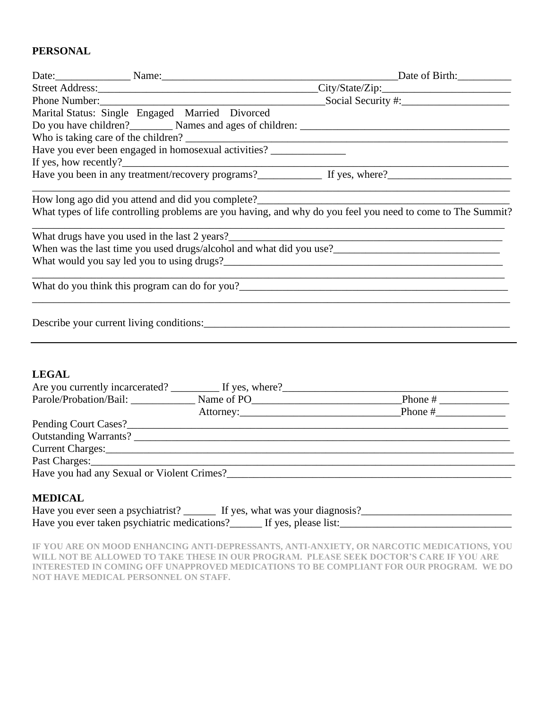## **PERSONAL**

|                |  |                                                 | Date of Birth:                                                                                                                                                                                                                 |  |  |  |
|----------------|--|-------------------------------------------------|--------------------------------------------------------------------------------------------------------------------------------------------------------------------------------------------------------------------------------|--|--|--|
|                |  |                                                 |                                                                                                                                                                                                                                |  |  |  |
|                |  |                                                 |                                                                                                                                                                                                                                |  |  |  |
|                |  | Marital Status: Single Engaged Married Divorced |                                                                                                                                                                                                                                |  |  |  |
|                |  |                                                 |                                                                                                                                                                                                                                |  |  |  |
|                |  |                                                 |                                                                                                                                                                                                                                |  |  |  |
|                |  |                                                 | Who is taking care of the children?<br>Have you ever been engaged in homosexual activities?                                                                                                                                    |  |  |  |
|                |  | If yes, how recently?                           |                                                                                                                                                                                                                                |  |  |  |
|                |  |                                                 |                                                                                                                                                                                                                                |  |  |  |
|                |  |                                                 |                                                                                                                                                                                                                                |  |  |  |
|                |  |                                                 | What types of life controlling problems are you having, and why do you feel you need to come to The Summit?                                                                                                                    |  |  |  |
|                |  |                                                 |                                                                                                                                                                                                                                |  |  |  |
|                |  |                                                 |                                                                                                                                                                                                                                |  |  |  |
|                |  |                                                 |                                                                                                                                                                                                                                |  |  |  |
|                |  |                                                 |                                                                                                                                                                                                                                |  |  |  |
|                |  |                                                 |                                                                                                                                                                                                                                |  |  |  |
| <b>LEGAL</b>   |  |                                                 |                                                                                                                                                                                                                                |  |  |  |
|                |  |                                                 | Are you currently incarcerated? ___________ If yes, where?_______________________                                                                                                                                              |  |  |  |
|                |  |                                                 |                                                                                                                                                                                                                                |  |  |  |
|                |  |                                                 |                                                                                                                                                                                                                                |  |  |  |
|                |  |                                                 |                                                                                                                                                                                                                                |  |  |  |
|                |  |                                                 |                                                                                                                                                                                                                                |  |  |  |
|                |  |                                                 | Current Charges: etc. And Charges: All and Charges and Charges and Charges and Charges and Charges and Charges and Charges and Charges and Charges and Charges and Charges and Charges and Charges and Charges and Charges and |  |  |  |
|                |  |                                                 | Past Charges:                                                                                                                                                                                                                  |  |  |  |
|                |  |                                                 |                                                                                                                                                                                                                                |  |  |  |
| <b>MEDICAL</b> |  |                                                 |                                                                                                                                                                                                                                |  |  |  |

| Have you ever seen a psychiatrist? _______ If yes, what was your diagnosis? |  |
|-----------------------------------------------------------------------------|--|
| Have you ever taken psychiatric medications?______ If yes, please list:     |  |

**IF YOU ARE ON MOOD ENHANCING ANTI-DEPRESSANTS, ANTI-ANXIETY, OR NARCOTIC MEDICATIONS, YOU WILL NOT BE ALLOWED TO TAKE THESE IN OUR PROGRAM. PLEASE SEEK DOCTOR'S CARE IF YOU ARE INTERESTED IN COMING OFF UNAPPROVED MEDICATIONS TO BE COMPLIANT FOR OUR PROGRAM. WE DO NOT HAVE MEDICAL PERSONNEL ON STAFF.**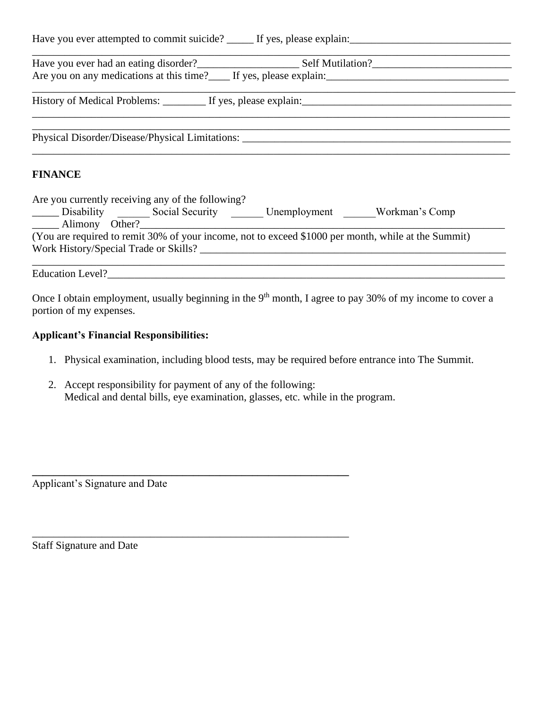| Are you on any medications at this time? If yes, please explain:                  |  |
|-----------------------------------------------------------------------------------|--|
|                                                                                   |  |
| Physical Disorder/Disease/Physical Limitations: _________________________________ |  |
| <b>FINANCE</b>                                                                    |  |

| Are you currently receiving any of the following?                                                   |                 |              |                |  |  |  |  |
|-----------------------------------------------------------------------------------------------------|-----------------|--------------|----------------|--|--|--|--|
| _______ Disability                                                                                  | Social Security | Unemployment | Workman's Comp |  |  |  |  |
| Alimony Other?                                                                                      |                 |              |                |  |  |  |  |
| (You are required to remit 30% of your income, not to exceed \$1000 per month, while at the Summit) |                 |              |                |  |  |  |  |
| Work History/Special Trade or Skills?                                                               |                 |              |                |  |  |  |  |
|                                                                                                     |                 |              |                |  |  |  |  |

Education Level?\_\_\_\_\_\_\_\_\_\_\_\_\_\_\_\_\_\_\_\_\_\_\_\_\_\_\_\_\_\_\_\_\_\_\_\_\_\_\_\_\_\_\_\_\_\_\_\_\_\_\_\_\_\_\_\_\_\_\_\_\_\_\_\_\_\_\_\_\_\_\_\_\_\_

Once I obtain employment, usually beginning in the  $9<sup>th</sup>$  month, I agree to pay 30% of my income to cover a portion of my expenses.

#### **Applicant's Financial Responsibilities:**

- 1. Physical examination, including blood tests, may be required before entrance into The Summit.
- 2. Accept responsibility for payment of any of the following: Medical and dental bills, eye examination, glasses, etc. while in the program.

**\_\_\_\_\_\_\_\_\_\_\_\_\_\_\_\_\_\_\_\_\_\_\_\_\_\_\_\_\_\_\_\_\_\_\_\_\_\_\_\_\_\_\_\_\_\_\_\_\_\_\_\_\_\_\_\_\_\_\_**

\_\_\_\_\_\_\_\_\_\_\_\_\_\_\_\_\_\_\_\_\_\_\_\_\_\_\_\_\_\_\_\_\_\_\_\_\_\_\_\_\_\_\_\_\_\_\_\_\_\_\_\_\_\_\_\_\_\_\_

Applicant's Signature and Date

Staff Signature and Date